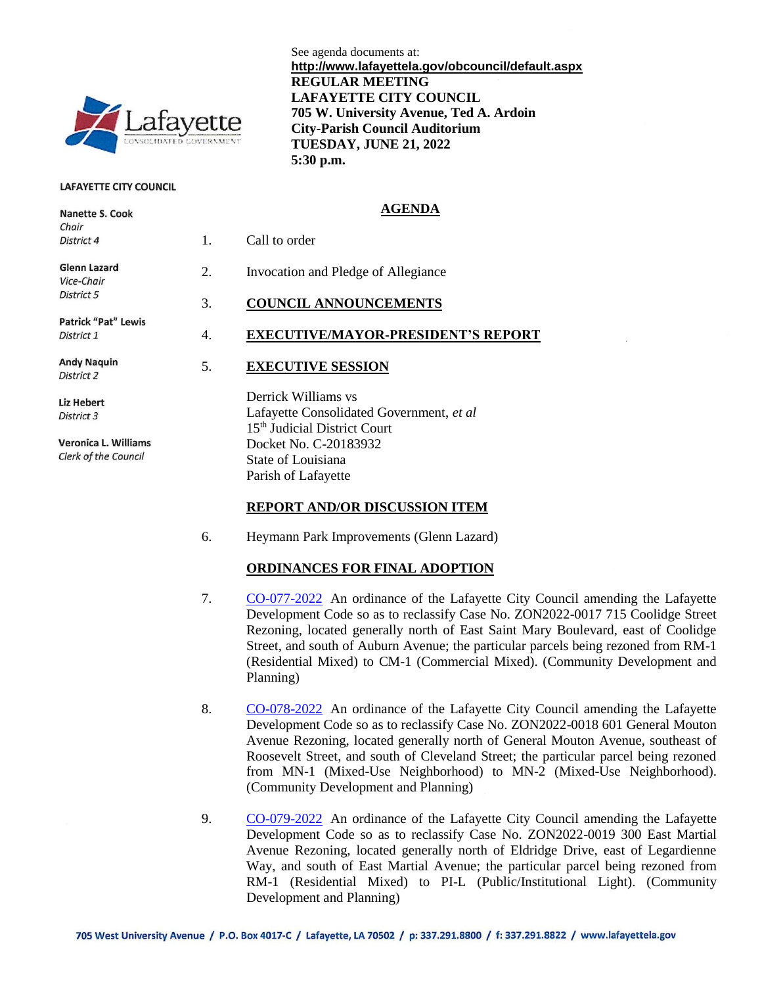

#### **LAFAYETTE CITY COUNCIL**

Nanotto S. Cook

See agenda documents at: **http://www.lafayettela.gov/obcouncil/default.aspx REGULAR MEETING LAFAYETTE CITY COUNCIL 705 W. University Avenue, Ted A. Ardoin City-Parish Council Auditorium TUESDAY, JUNE 21, 2022 5:30 p.m.**

#### **AGENDA**

|  | Chair<br>District 4                                        | 1. | Call to order                                                                                               |
|--|------------------------------------------------------------|----|-------------------------------------------------------------------------------------------------------------|
|  | Glenn Lazard<br>Vice-Chair                                 | 2. | Invocation and Pledge of Allegiance                                                                         |
|  | District 5                                                 | 3. | <b>COUNCIL ANNOUNCEMENTS</b>                                                                                |
|  | <b>Patrick "Pat" Lewis</b><br>District 1                   | 4. | <b>EXECUTIVE/MAYOR-PRESIDENT'S REPORT</b>                                                                   |
|  | <b>Andy Naguin</b><br>District 2                           | 5. | <b>EXECUTIVE SESSION</b>                                                                                    |
|  | <b>Liz Hebert</b><br>District 3                            |    | Derrick Williams vs<br>Lafayette Consolidated Government, et al<br>15 <sup>th</sup> Judicial District Court |
|  | <b>Veronica L. Williams</b><br><b>Clerk of the Council</b> |    | Docket No. C-20183932<br>State of Louisiana<br>Parish of Lafayette                                          |
|  |                                                            |    |                                                                                                             |

#### **REPORT AND/OR DISCUSSION ITEM**

6. Heymann Park Improvements (Glenn Lazard)

#### **ORDINANCES FOR FINAL ADOPTION**

- 7. [CO-077-2022](http://apps.lafayettela.gov/OBCouncil/ViewDocument.aspx?docID=2154999) An ordinance of the Lafayette City Council amending the Lafayette Development Code so as to reclassify Case No. ZON2022-0017 715 Coolidge Street Rezoning, located generally north of East Saint Mary Boulevard, east of Coolidge Street, and south of Auburn Avenue; the particular parcels being rezoned from RM-1 (Residential Mixed) to CM-1 (Commercial Mixed). (Community Development and Planning)
- 8. [CO-078-2022](http://apps.lafayettela.gov/OBCouncil/ViewDocument.aspx?docID=2155001) An ordinance of the Lafayette City Council amending the Lafayette Development Code so as to reclassify Case No. ZON2022-0018 601 General Mouton Avenue Rezoning, located generally north of General Mouton Avenue, southeast of Roosevelt Street, and south of Cleveland Street; the particular parcel being rezoned from MN-1 (Mixed-Use Neighborhood) to MN-2 (Mixed-Use Neighborhood). (Community Development and Planning)
- 9. [CO-079-2022](http://apps.lafayettela.gov/OBCouncil/ViewDocument.aspx?docID=2155005) An ordinance of the Lafayette City Council amending the Lafayette Development Code so as to reclassify Case No. ZON2022-0019 300 East Martial Avenue Rezoning, located generally north of Eldridge Drive, east of Legardienne Way, and south of East Martial Avenue; the particular parcel being rezoned from RM-1 (Residential Mixed) to PI-L (Public/Institutional Light). (Community Development and Planning)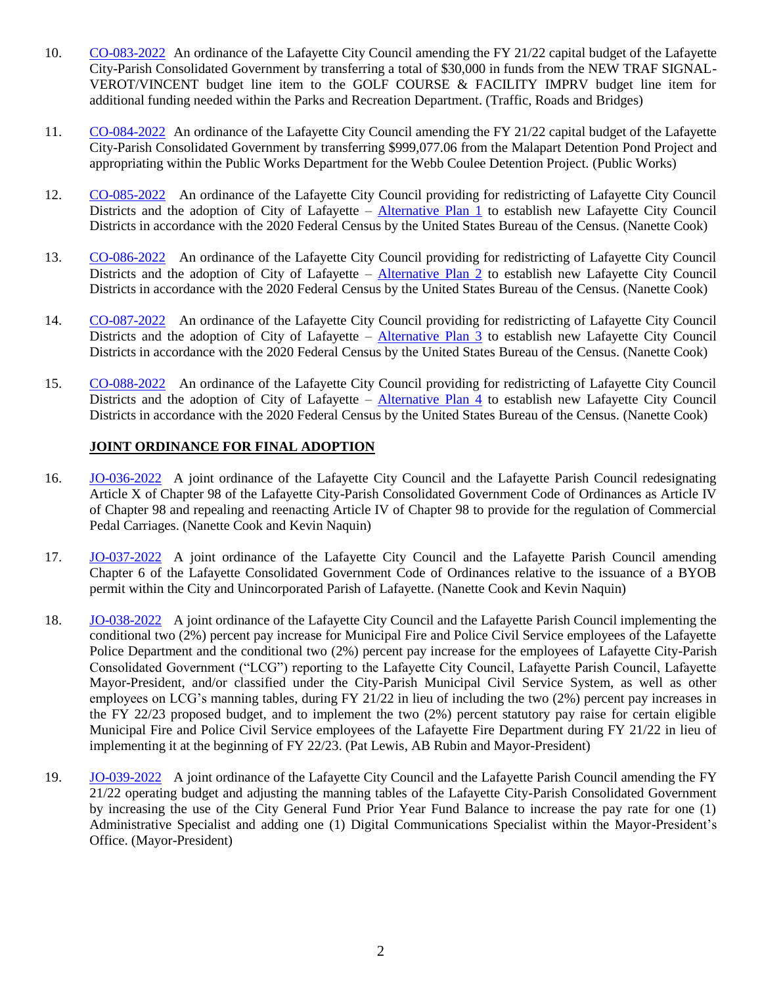- 10. [CO-083-2022](http://apps.lafayettela.gov/OBCouncil/ViewDocument.aspx?docID=2154987) An ordinance of the Lafayette City Council amending the FY 21/22 capital budget of the Lafayette City-Parish Consolidated Government by transferring a total of \$30,000 in funds from the NEW TRAF SIGNAL-VEROT/VINCENT budget line item to the GOLF COURSE & FACILITY IMPRV budget line item for additional funding needed within the Parks and Recreation Department. (Traffic, Roads and Bridges)
- 11. [CO-084-2022](http://apps.lafayettela.gov/OBCouncil/ViewDocument.aspx?docID=2154989) An ordinance of the Lafayette City Council amending the FY 21/22 capital budget of the Lafayette City-Parish Consolidated Government by transferring \$999,077.06 from the Malapart Detention Pond Project and appropriating within the Public Works Department for the Webb Coulee Detention Project. (Public Works)
- 12. [CO-085-2022](http://apps.lafayettela.gov/OBCouncil/ViewDocument.aspx?docID=2154991) An ordinance of the Lafayette City Council providing for redistricting of Lafayette City Council Districts and the adoption of City of Lafayette – [Alternative Plan 1](https://gis.doyleland.com/redistricting/lafayette/CityAlt1.pdf) to establish new Lafayette City Council Districts in accordance with the 2020 Federal Census by the United States Bureau of the Census. (Nanette Cook)
- 13. [CO-086-2022](http://apps.lafayettela.gov/OBCouncil/ViewDocument.aspx?docID=2154992) An ordinance of the Lafayette City Council providing for redistricting of Lafayette City Council Districts and the adoption of City of Lafayette – [Alternative Plan 2](https://gis.doyleland.com/redistricting/lafayette/CityAlt2.pdf) to establish new Lafayette City Council Districts in accordance with the 2020 Federal Census by the United States Bureau of the Census. (Nanette Cook)
- 14. [CO-087-2022](http://apps.lafayettela.gov/OBCouncil/ViewDocument.aspx?docID=2154995) An ordinance of the Lafayette City Council providing for redistricting of Lafayette City Council Districts and the adoption of City of Lafayette – [Alternative Plan 3](https://gis.doyleland.com/redistricting/lafayette/CityAlt3.pdf) to establish new Lafayette City Council Districts in accordance with the 2020 Federal Census by the United States Bureau of the Census. (Nanette Cook)
- 15. [CO-088-2022](http://apps.lafayettela.gov/OBCouncil/ViewDocument.aspx?docID=2154996) An ordinance of the Lafayette City Council providing for redistricting of Lafayette City Council Districts and the adoption of City of Lafayette – [Alternative Plan 4](https://gis.doyleland.com/redistricting/lafayette/CityAlt4.pdf) to establish new Lafayette City Council Districts in accordance with the 2020 Federal Census by the United States Bureau of the Census. (Nanette Cook)

# **JOINT ORDINANCE FOR FINAL ADOPTION**

- 16. [JO-036-2022](http://apps.lafayettela.gov/OBCouncil/ViewDocument.aspx?docID=2155018) A joint ordinance of the Lafayette City Council and the Lafayette Parish Council redesignating Article X of Chapter 98 of the Lafayette City-Parish Consolidated Government Code of Ordinances as Article IV of Chapter 98 and repealing and reenacting Article IV of Chapter 98 to provide for the regulation of Commercial Pedal Carriages. (Nanette Cook and Kevin Naquin)
- 17. [JO-037-2022](http://apps.lafayettela.gov/OBCouncil/ViewDocument.aspx?docID=2155020) A joint ordinance of the Lafayette City Council and the Lafayette Parish Council amending Chapter 6 of the Lafayette Consolidated Government Code of Ordinances relative to the issuance of a BYOB permit within the City and Unincorporated Parish of Lafayette. (Nanette Cook and Kevin Naquin)
- 18. [JO-038-2022](http://apps.lafayettela.gov/OBCouncil/ViewDocument.aspx?docID=2155007) A joint ordinance of the Lafayette City Council and the Lafayette Parish Council implementing the conditional two (2%) percent pay increase for Municipal Fire and Police Civil Service employees of the Lafayette Police Department and the conditional two (2%) percent pay increase for the employees of Lafayette City-Parish Consolidated Government ("LCG") reporting to the Lafayette City Council, Lafayette Parish Council, Lafayette Mayor-President, and/or classified under the City-Parish Municipal Civil Service System, as well as other employees on LCG's manning tables, during FY 21/22 in lieu of including the two (2%) percent pay increases in the FY 22/23 proposed budget, and to implement the two (2%) percent statutory pay raise for certain eligible Municipal Fire and Police Civil Service employees of the Lafayette Fire Department during FY 21/22 in lieu of implementing it at the beginning of FY 22/23. (Pat Lewis, AB Rubin and Mayor-President)
- 19. [JO-039-2022](http://apps.lafayettela.gov/OBCouncil/ViewDocument.aspx?docID=2155008) A joint ordinance of the Lafayette City Council and the Lafayette Parish Council amending the FY 21/22 operating budget and adjusting the manning tables of the Lafayette City-Parish Consolidated Government by increasing the use of the City General Fund Prior Year Fund Balance to increase the pay rate for one (1) Administrative Specialist and adding one (1) Digital Communications Specialist within the Mayor-President's Office. (Mayor-President)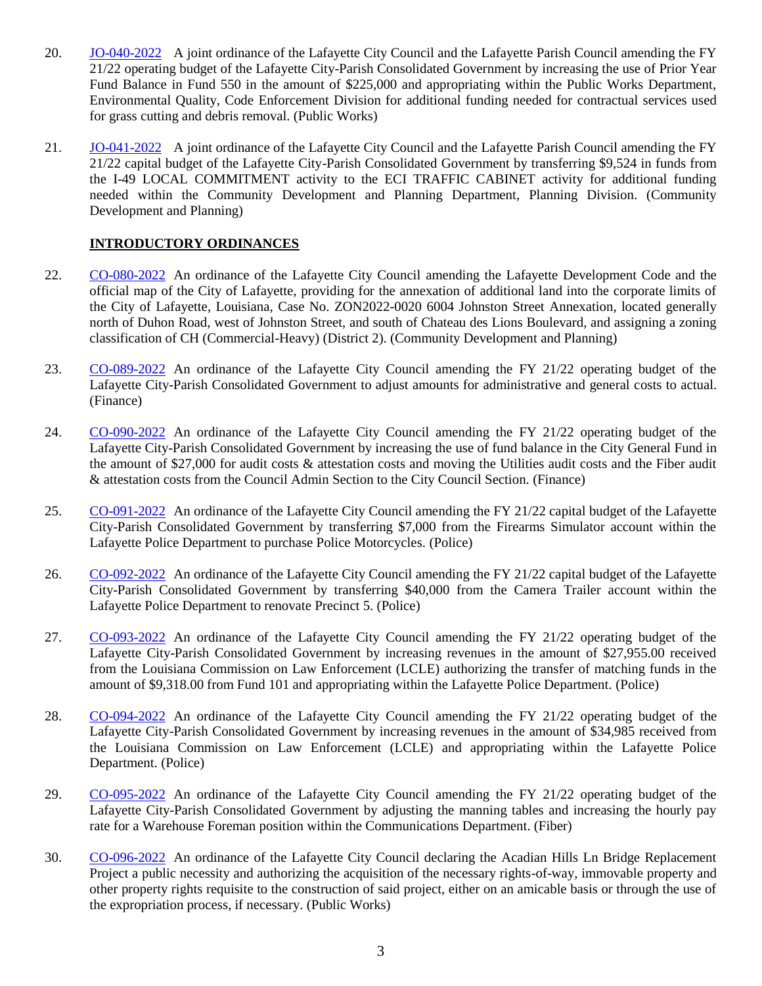- 20. [JO-040-2022](http://apps.lafayettela.gov/OBCouncil/ViewDocument.aspx?docID=2155012) A joint ordinance of the Lafayette City Council and the Lafayette Parish Council amending the FY 21/22 operating budget of the Lafayette City-Parish Consolidated Government by increasing the use of Prior Year Fund Balance in Fund 550 in the amount of \$225,000 and appropriating within the Public Works Department, Environmental Quality, Code Enforcement Division for additional funding needed for contractual services used for grass cutting and debris removal. (Public Works)
- 21. [JO-041-2022](http://apps.lafayettela.gov/OBCouncil/ViewDocument.aspx?docID=2155014) A joint ordinance of the Lafayette City Council and the Lafayette Parish Council amending the FY 21/22 capital budget of the Lafayette City-Parish Consolidated Government by transferring \$9,524 in funds from the I-49 LOCAL COMMITMENT activity to the ECI TRAFFIC CABINET activity for additional funding needed within the Community Development and Planning Department, Planning Division. (Community Development and Planning)

# **INTRODUCTORY ORDINANCES**

- 22. [CO-080-2022](http://apps.lafayettela.gov/OBCouncil/ViewDocument.aspx?docID=2155047) An ordinance of the Lafayette City Council amending the Lafayette Development Code and the official map of the City of Lafayette, providing for the annexation of additional land into the corporate limits of the City of Lafayette, Louisiana, Case No. ZON2022-0020 6004 Johnston Street Annexation, located generally north of Duhon Road, west of Johnston Street, and south of Chateau des Lions Boulevard, and assigning a zoning classification of CH (Commercial-Heavy) (District 2). (Community Development and Planning)
- 23. [CO-089-2022](http://apps.lafayettela.gov/OBCouncil/ViewDocument.aspx?docID=2155050) An ordinance of the Lafayette City Council amending the FY 21/22 operating budget of the Lafayette City-Parish Consolidated Government to adjust amounts for administrative and general costs to actual. (Finance)
- 24. [CO-090-2022](http://apps.lafayettela.gov/OBCouncil/ViewDocument.aspx?docID=2155054) An ordinance of the Lafayette City Council amending the FY 21/22 operating budget of the Lafayette City-Parish Consolidated Government by increasing the use of fund balance in the City General Fund in the amount of \$27,000 for audit costs & attestation costs and moving the Utilities audit costs and the Fiber audit & attestation costs from the Council Admin Section to the City Council Section. (Finance)
- 25. [CO-091-2022](http://apps.lafayettela.gov/OBCouncil/ViewDocument.aspx?docID=2155055) An ordinance of the Lafayette City Council amending the FY 21/22 capital budget of the Lafayette City-Parish Consolidated Government by transferring \$7,000 from the Firearms Simulator account within the Lafayette Police Department to purchase Police Motorcycles. (Police)
- 26. [CO-092-2022](http://apps.lafayettela.gov/OBCouncil/ViewDocument.aspx?docID=2155024) An ordinance of the Lafayette City Council amending the FY 21/22 capital budget of the Lafayette City-Parish Consolidated Government by transferring \$40,000 from the Camera Trailer account within the Lafayette Police Department to renovate Precinct 5. (Police)
- 27. [CO-093-2022](http://apps.lafayettela.gov/OBCouncil/ViewDocument.aspx?docID=2155025) An ordinance of the Lafayette City Council amending the FY 21/22 operating budget of the Lafayette City-Parish Consolidated Government by increasing revenues in the amount of \$27,955.00 received from the Louisiana Commission on Law Enforcement (LCLE) authorizing the transfer of matching funds in the amount of \$9,318.00 from Fund 101 and appropriating within the Lafayette Police Department. (Police)
- 28. [CO-094-2022](http://apps.lafayettela.gov/OBCouncil/ViewDocument.aspx?docID=2155028) An ordinance of the Lafayette City Council amending the FY 21/22 operating budget of the Lafayette City-Parish Consolidated Government by increasing revenues in the amount of \$34,985 received from the Louisiana Commission on Law Enforcement (LCLE) and appropriating within the Lafayette Police Department. (Police)
- 29. [CO-095-2022](http://apps.lafayettela.gov/OBCouncil/ViewDocument.aspx?docID=2155030) An ordinance of the Lafayette City Council amending the FY 21/22 operating budget of the Lafayette City-Parish Consolidated Government by adjusting the manning tables and increasing the hourly pay rate for a Warehouse Foreman position within the Communications Department. (Fiber)
- 30. [CO-096-2022](http://apps.lafayettela.gov/OBCouncil/ViewDocument.aspx?docID=2155033) An ordinance of the Lafayette City Council declaring the Acadian Hills Ln Bridge Replacement Project a public necessity and authorizing the acquisition of the necessary rights-of-way, immovable property and other property rights requisite to the construction of said project, either on an amicable basis or through the use of the expropriation process, if necessary. (Public Works)